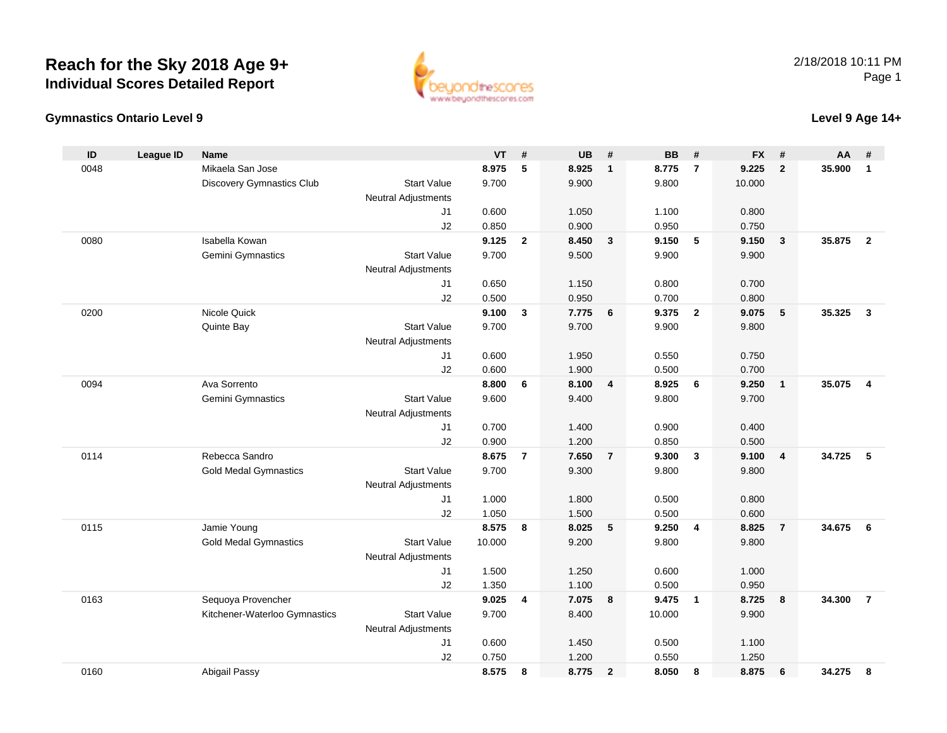## **Reach for the Sky 2018 Age 9+Individual Scores Detailed Report**





## **Level 9 Age 14+**

| ID   | <b>League ID</b> | <b>Name</b>                      |                            | <b>VT</b>      | #              | <b>UB</b>      | #                       | <b>BB</b>      | #                       | <b>FX</b>      | #                       | AA     | #                       |
|------|------------------|----------------------------------|----------------------------|----------------|----------------|----------------|-------------------------|----------------|-------------------------|----------------|-------------------------|--------|-------------------------|
| 0048 |                  | Mikaela San Jose                 |                            | 8.975          | 5              | 8.925          | $\mathbf{1}$            | 8.775          | $\overline{7}$          | 9.225          | $\overline{2}$          | 35.900 | $\mathbf{1}$            |
|      |                  | <b>Discovery Gymnastics Club</b> | <b>Start Value</b>         | 9.700          |                | 9.900          |                         | 9.800          |                         | 10.000         |                         |        |                         |
|      |                  |                                  | <b>Neutral Adjustments</b> |                |                |                |                         |                |                         |                |                         |        |                         |
|      |                  |                                  | J1                         | 0.600          |                | 1.050          |                         | 1.100          |                         | 0.800          |                         |        |                         |
|      |                  |                                  | J2                         | 0.850          |                | 0.900          |                         | 0.950          |                         | 0.750          |                         |        |                         |
| 0080 |                  | Isabella Kowan                   |                            | 9.125          | $\mathbf{2}$   | 8.450          | $\mathbf{3}$            | 9.150          | 5                       | 9.150          | $\overline{\mathbf{3}}$ | 35.875 | $\overline{2}$          |
|      |                  | Gemini Gymnastics                | <b>Start Value</b>         | 9.700          |                | 9.500          |                         | 9.900          |                         | 9.900          |                         |        |                         |
|      |                  |                                  | <b>Neutral Adjustments</b> |                |                |                |                         |                |                         |                |                         |        |                         |
|      |                  |                                  | J1                         | 0.650          |                | 1.150          |                         | 0.800          |                         | 0.700          |                         |        |                         |
|      |                  |                                  | J2                         | 0.500          |                | 0.950          |                         | 0.700          |                         | 0.800          |                         |        |                         |
| 0200 |                  | Nicole Quick                     |                            | 9.100          | 3              | 7.775          | 6                       | 9.375          | $\overline{2}$          | 9.075          | 5                       | 35.325 | $\mathbf{3}$            |
|      |                  | Quinte Bay                       | <b>Start Value</b>         | 9.700          |                | 9.700          |                         | 9.900          |                         | 9.800          |                         |        |                         |
|      |                  |                                  | <b>Neutral Adjustments</b> |                |                |                |                         |                |                         |                |                         |        |                         |
|      |                  |                                  | J1                         | 0.600          |                | 1.950          |                         | 0.550          |                         | 0.750          |                         |        |                         |
|      |                  |                                  | J2                         | 0.600          |                | 1.900          |                         | 0.500          |                         | 0.700          |                         |        |                         |
| 0094 |                  | Ava Sorrento                     |                            | 8.800          | 6              | 8.100          | $\overline{\mathbf{4}}$ | 8.925          | 6                       | 9.250          | $\mathbf{1}$            | 35.075 | $\overline{\mathbf{4}}$ |
|      |                  | Gemini Gymnastics                | <b>Start Value</b>         | 9.600          |                | 9.400          |                         | 9.800          |                         | 9.700          |                         |        |                         |
|      |                  |                                  | <b>Neutral Adjustments</b> |                |                |                |                         |                |                         |                |                         |        |                         |
|      |                  |                                  | J1                         | 0.700          |                | 1.400<br>1.200 |                         | 0.900          |                         | 0.400<br>0.500 |                         |        |                         |
| 0114 |                  | Rebecca Sandro                   | J2                         | 0.900<br>8.675 | $\overline{7}$ | 7.650          | $\overline{7}$          | 0.850<br>9.300 | 3                       | 9.100          | $\overline{4}$          | 34.725 | 5                       |
|      |                  | <b>Gold Medal Gymnastics</b>     | <b>Start Value</b>         | 9.700          |                | 9.300          |                         | 9.800          |                         | 9.800          |                         |        |                         |
|      |                  |                                  | <b>Neutral Adjustments</b> |                |                |                |                         |                |                         |                |                         |        |                         |
|      |                  |                                  | J1                         | 1.000          |                | 1.800          |                         | 0.500          |                         | 0.800          |                         |        |                         |
|      |                  |                                  | J2                         | 1.050          |                | 1.500          |                         | 0.500          |                         | 0.600          |                         |        |                         |
| 0115 |                  | Jamie Young                      |                            | 8.575          | 8              | 8.025          | 5                       | 9.250          | $\overline{4}$          | 8.825          | $\overline{7}$          | 34.675 | 6                       |
|      |                  | <b>Gold Medal Gymnastics</b>     | <b>Start Value</b>         | 10.000         |                | 9.200          |                         | 9.800          |                         | 9.800          |                         |        |                         |
|      |                  |                                  | <b>Neutral Adjustments</b> |                |                |                |                         |                |                         |                |                         |        |                         |
|      |                  |                                  | J <sub>1</sub>             | 1.500          |                | 1.250          |                         | 0.600          |                         | 1.000          |                         |        |                         |
|      |                  |                                  | J2                         | 1.350          |                | 1.100          |                         | 0.500          |                         | 0.950          |                         |        |                         |
| 0163 |                  | Sequoya Provencher               |                            | 9.025          | 4              | 7.075          | 8                       | 9.475          | $\overline{\mathbf{1}}$ | 8.725          | 8                       | 34.300 | $\overline{7}$          |
|      |                  | Kitchener-Waterloo Gymnastics    | <b>Start Value</b>         | 9.700          |                | 8.400          |                         | 10.000         |                         | 9.900          |                         |        |                         |
|      |                  |                                  | <b>Neutral Adjustments</b> |                |                |                |                         |                |                         |                |                         |        |                         |
|      |                  |                                  | J1                         | 0.600          |                | 1.450          |                         | 0.500          |                         | 1.100          |                         |        |                         |
|      |                  |                                  | J2                         | 0.750          |                | 1.200          |                         | 0.550          |                         | 1.250          |                         |        |                         |
| 0160 |                  | Abigail Passy                    |                            | 8.575          | 8              | 8.775          | $\overline{2}$          | 8.050          | 8                       | 8.875          | 6                       | 34.275 | 8                       |